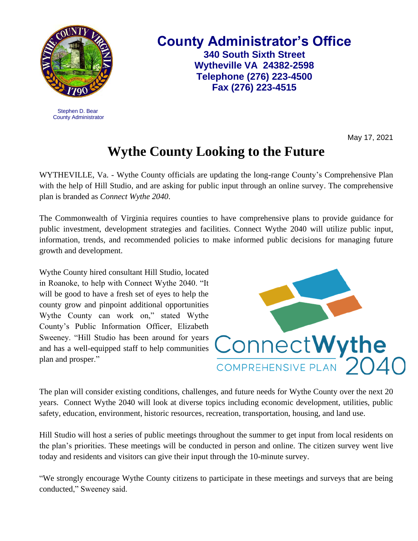

 Stephen D. Bear County Administrator **County Administrator's Office 340 South Sixth Street Wytheville VA 24382-2598 Telephone (276) 223-4500 Fax (276) 223-4515**

May 17, 2021

## **Wythe County Looking to the Future**

WYTHEVILLE, Va. - Wythe County officials are updating the long-range County's Comprehensive Plan with the help of Hill Studio, and are asking for public input through an online survey. The comprehensive plan is branded as *Connect Wythe 2040*.

The Commonwealth of Virginia requires counties to have comprehensive plans to provide guidance for public investment, development strategies and facilities. Connect Wythe 2040 will utilize public input, information, trends, and recommended policies to make informed public decisions for managing future growth and development.

Wythe County hired consultant Hill Studio, located in Roanoke, to help with Connect Wythe 2040. "It will be good to have a fresh set of eyes to help the county grow and pinpoint additional opportunities Wythe County can work on," stated Wythe County's Public Information Officer, Elizabeth Sweeney. "Hill Studio has been around for years and has a well-equipped staff to help communities plan and prosper."



The plan will consider existing conditions, challenges, and future needs for Wythe County over the next 20 years. Connect Wythe 2040 will look at diverse topics including economic development, utilities, public safety, education, environment, historic resources, recreation, transportation, housing, and land use.

Hill Studio will host a series of public meetings throughout the summer to get input from local residents on the plan's priorities. These meetings will be conducted in person and online. The citizen survey went live today and residents and visitors can give their input through the 10-minute survey.

"We strongly encourage Wythe County citizens to participate in these meetings and surveys that are being conducted," Sweeney said.